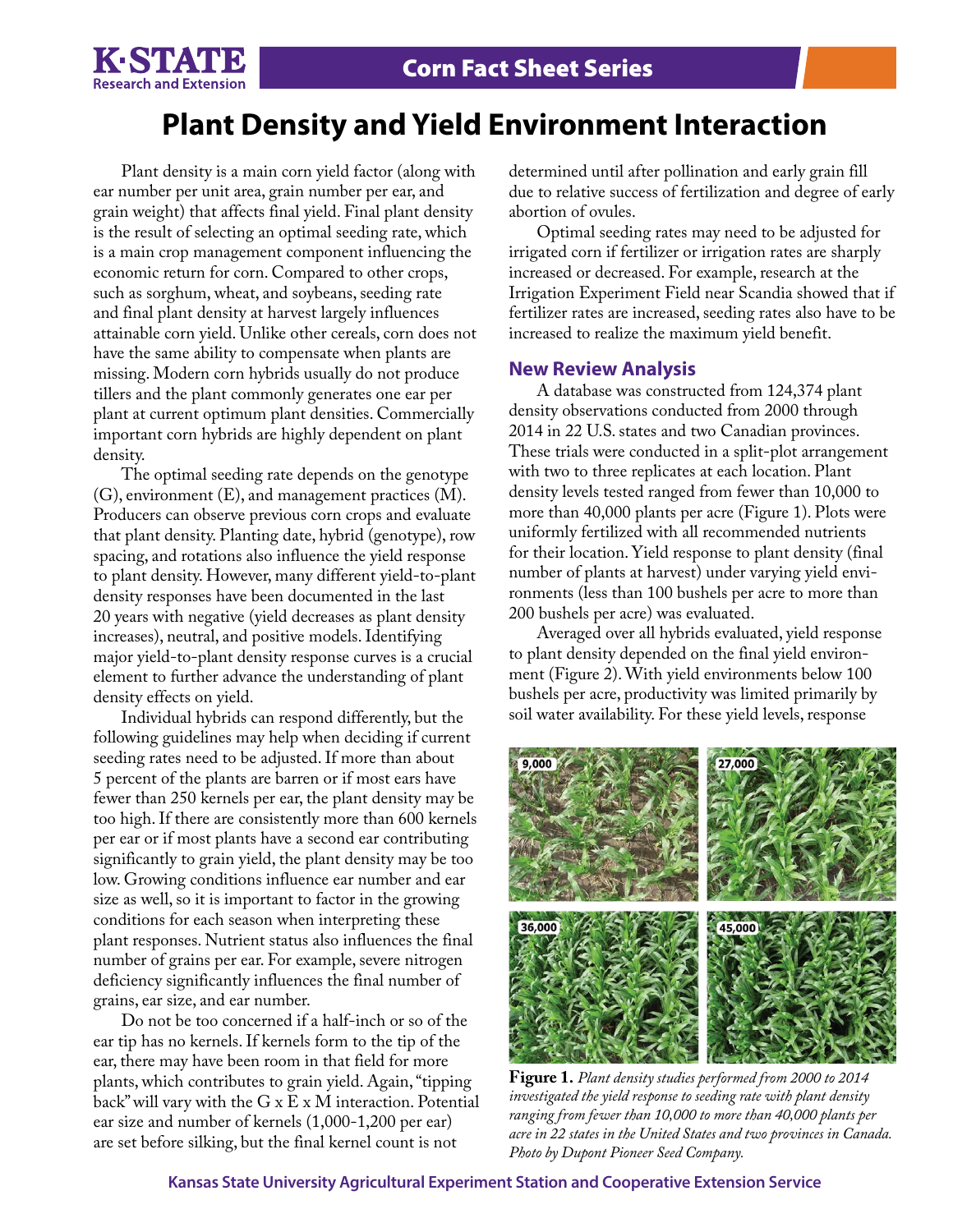

# **Plant Density and Yield Environment Interaction**

Plant density is a main corn yield factor (along with ear number per unit area, grain number per ear, and grain weight) that affects final yield. Final plant density is the result of selecting an optimal seeding rate, which is a main crop management component influencing the economic return for corn. Compared to other crops, such as sorghum, wheat, and soybeans, seeding rate and final plant density at harvest largely influences attainable corn yield. Unlike other cereals, corn does not have the same ability to compensate when plants are missing. Modern corn hybrids usually do not produce tillers and the plant commonly generates one ear per plant at current optimum plant densities. Commercially important corn hybrids are highly dependent on plant density.

The optimal seeding rate depends on the genotype (G), environment (E), and management practices (M). Producers can observe previous corn crops and evaluate that plant density. Planting date, hybrid (genotype), row spacing, and rotations also influence the yield response to plant density. However, many different yield-to-plant density responses have been documented in the last 20 years with negative (yield decreases as plant density increases), neutral, and positive models. Identifying major yield-to-plant density response curves is a crucial element to further advance the understanding of plant density effects on yield.

Individual hybrids can respond differently, but the following guidelines may help when deciding if current seeding rates need to be adjusted. If more than about 5 percent of the plants are barren or if most ears have fewer than 250 kernels per ear, the plant density may be too high. If there are consistently more than 600 kernels per ear or if most plants have a second ear contributing significantly to grain yield, the plant density may be too low. Growing conditions influence ear number and ear size as well, so it is important to factor in the growing conditions for each season when interpreting these plant responses. Nutrient status also influences the final number of grains per ear. For example, severe nitrogen deficiency significantly influences the final number of grains, ear size, and ear number.

Do not be too concerned if a half-inch or so of the ear tip has no kernels. If kernels form to the tip of the ear, there may have been room in that field for more plants, which contributes to grain yield. Again, "tipping back" will vary with the G x E x M interaction. Potential ear size and number of kernels (1,000-1,200 per ear) are set before silking, but the final kernel count is not

determined until after pollination and early grain fill due to relative success of fertilization and degree of early abortion of ovules.

Optimal seeding rates may need to be adjusted for irrigated corn if fertilizer or irrigation rates are sharply increased or decreased. For example, research at the Irrigation Experiment Field near Scandia showed that if fertilizer rates are increased, seeding rates also have to be increased to realize the maximum yield benefit.

#### **New Review Analysis**

A database was constructed from 124,374 plant density observations conducted from 2000 through 2014 in 22 U.S. states and two Canadian provinces. These trials were conducted in a split-plot arrangement with two to three replicates at each location. Plant density levels tested ranged from fewer than 10,000 to more than 40,000 plants per acre (Figure 1). Plots were uniformly fertilized with all recommended nutrients for their location. Yield response to plant density (final number of plants at harvest) under varying yield environments (less than 100 bushels per acre to more than 200 bushels per acre) was evaluated.

Averaged over all hybrids evaluated, yield response to plant density depended on the final yield environment (Figure 2). With yield environments below 100 bushels per acre, productivity was limited primarily by soil water availability. For these yield levels, response



**Figure 1.** *Plant density studies performed from 2000 to 2014 investigated the yield response to seeding rate with plant density ranging from fewer than 10,000 to more than 40,000 plants per acre in 22 states in the United States and two provinces in Canada. Photo by Dupont Pioneer Seed Company.*